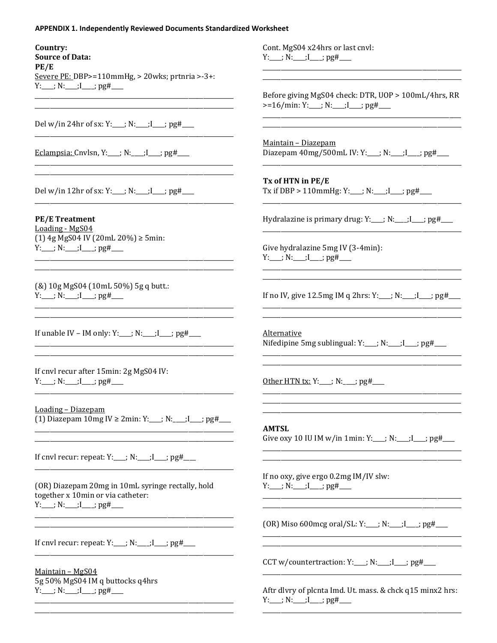## **APPENDIX 1. Independently Reviewed Documents Standardized Worksheet**

## Country:

**Source of Data:**  $PE/E$ Severe PE: DBP>=110mmHg, > 20wks; prtnria >-3+:  $Y:$   $N:$   $I$   $I$   $pg#$   $I$ 

Del w/in 24hr of sx: Y:\_\_\_; N:\_\_\_; I\_\_\_; pg#\_\_\_

Eclampsia: Cnylsn, Y:  $\therefore$  N:  $\therefore$  I  $\therefore$  pg#

Del w/in 12hr of sx: Y:\_\_\_; N:\_\_\_; I\_\_\_; pg#\_\_\_

**PE/E Treatment** Loading - MgS04  $(1)$  4g MgS04 IV (20mL 20%)  $\geq$  5min:  $Y:$   $N:$   $I \rightarrow$   $pg#$   $\cdots$ 

(&) 10g MgS04 (10mL 50%) 5g q butt.:  $Y:$ \_\_\_; N:\_\_\_;I\_\_\_; pg#\_\_\_

If unable IV – IM only: Y:\_\_\_; N:\_\_\_; I\_\_\_; pg#\_\_\_

If cnyl recur after 15min: 2g MgS04 IV:  $Y:$ \_\_\_;  $N:$ \_\_\_; $I$ \_\_\_;  $pg#$ \_\_\_

Loading - Diazepam (1) Diazepam 10mg IV  $\geq 2$ min: Y:\_\_\_; N:\_\_\_; I\_\_\_; pg#\_\_\_

<u> 2000 - Jan Jan James, martin film eta bat eta bat erroman erroman erroman ez artera erroman ez artera erroman</u>

If cnvl recur: repeat:  $Y:$   $N:$   $N:$   $I \rightarrow$   $pg#$ 

(OR) Diazepam 20mg in 10mL syringe rectally, hold together x 10min or via catheter:  $Y:$   $N:$   $I$   $I$   $pg#$   $I$ 

If cnvl recur: repeat:  $Y:$   $N:$   $N:$   $I \rightarrow$   $pg#$ 

Maintain - MgS04 5g 50% MgS04 IM q buttocks q4hrs  $Y:$ \_\_\_; N:\_\_\_;I\_\_\_; pg#\_\_\_

Cont. MgS04 x24hrs or last cnvl: Y:\_\_\_; N:\_\_\_;I\_\_\_; pg#\_\_\_

Before giving MgS04 check: DTR, UOP > 100mL/4hrs, RR  $>=16/min: Y:$   $N:$   $I:$   $I:$   $pg#$ 

Maintain - Diazepam Diazepam  $40mg/500mL IV: Y:$  ; N: ;  $I$  ; pg#

## Tx of HTN in PE/E

Tx if DBP > 110mmHg: Y:\_\_; N:\_\_; I\_\_; pg#\_\_\_

Hydralazine is primary drug:  $Y:$   $N:$   $I:$   $I:$   $I:$   $p$ g#  $I:$ 

Give hydralazine 5mg IV (3-4min):  $Y:$ \_\_\_; N:\_\_\_;I\_\_\_; pg#\_\_\_

If no IV, give 12.5mg IM q 2hrs:  $Y:$   $Y:$   $N:$   $I \rightarrow$   $Pf$ 

Alternative Nifedipine 5mg sublingual: Y:\_\_; N:\_\_;I\_\_; pg#\_\_\_

Other HTN tx: Y:\_\_\_; N:\_\_\_; pg#\_\_\_

**AMTSL** Give oxy 10 IU IM w/in 1min: Y:\_\_\_; N:\_\_\_; I\_\_\_; pg#\_\_\_

If no oxy, give ergo 0.2mg IM/IV slw:  $Y:$ \_\_\_; N:\_\_\_;I\_\_\_; pg#\_\_\_

(OR) Miso 600 mcg oral/SL: Y:\_\_; N:\_\_; I\_\_; pg#\_\_\_

CCT w/countertraction:  $Y:$   $Y:$   $N:$   $I \rightarrow$   $PH$ 

Aftr dlvry of plcnta Imd. Ut. mass. & chck q15 minx2 hrs:  $Y:$ \_\_\_; N:\_\_\_;I\_\_\_; pg#\_\_\_